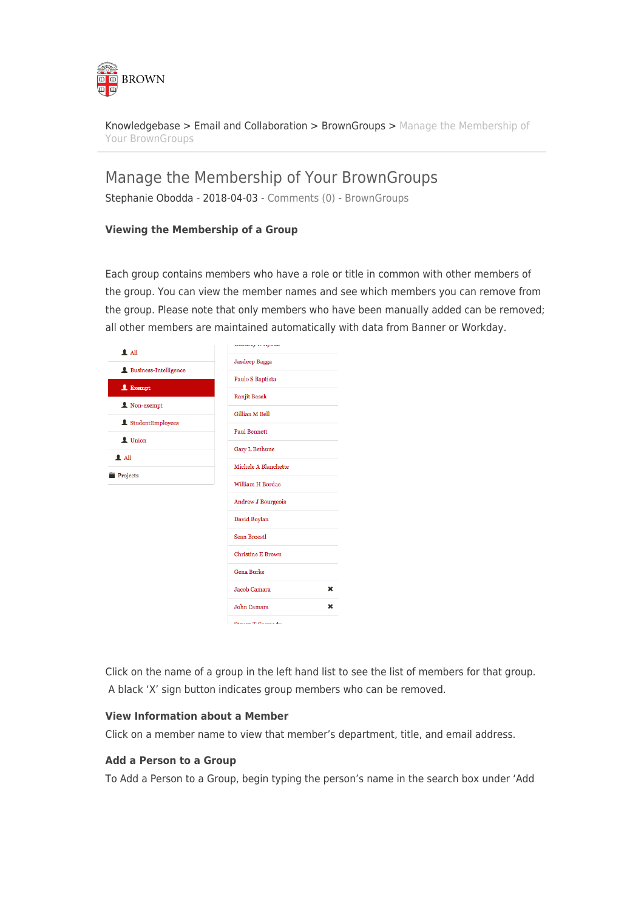

[Knowledgebase](https://ithelp.brown.edu/kb) > [Email and Collaboration](https://ithelp.brown.edu/kb/email-and-collaboration) > [BrownGroups](https://ithelp.brown.edu/kb/browngroups) > [Manage the Membership of](https://ithelp.brown.edu/kb/articles/manage-the-membership-of-your-browngroups) [Your BrownGroups](https://ithelp.brown.edu/kb/articles/manage-the-membership-of-your-browngroups)

# Manage the Membership of Your BrownGroups

Stephanie Obodda - 2018-04-03 - [Comments \(0\)](#page--1-0) - [BrownGroups](https://ithelp.brown.edu/kb/browngroups)

## **Viewing the Membership of a Group**

Each group contains members who have a role or title in common with other members of the group. You can view the member names and see which members you can remove from the group. Please note that only members who have been manually added can be removed; all other members are maintained automatically with data from Banner or Workday.

| $\mathbf 1$ All                | بممات ومدادها وتحمدتمانات         |
|--------------------------------|-----------------------------------|
| <b>A</b> Business-Intelligence | Jasdeep Bagga<br>Paulo S Baptista |
|                                |                                   |
| <b>1</b> Exempt                | <b>Ranjit Basak</b>               |
| 1 Non-exempt                   | Gillian M Bell                    |
| <b>1</b> StudentEmployees      |                                   |
| <b>1</b> Union                 | Paul Bennett                      |
| $\blacksquare$ All             | Gary L Bethune                    |
|                                | Michele A Blanchette              |
| <b>Projects</b>                | William H Bordac                  |
|                                | <b>Andrew J Bourgeois</b>         |
|                                | David Boylan                      |
|                                | <b>Sean Broestl</b>               |
|                                | <b>Christine E Brown</b>          |
|                                | <b>Gena Burke</b>                 |
|                                | <b>Jacob Camara</b><br>×          |
|                                | ×<br>John Camara                  |
|                                | $0h$ and $0h$ and $1h$            |

Click on the name of a group in the left hand list to see the list of members for that group. A black 'X' sign button indicates group members who can be removed.

### **View Information about a Member**

Click on a member name to view that member's department, title, and email address.

#### **Add a Person to a Group**

To Add a Person to a Group, begin typing the person's name in the search box under 'Add